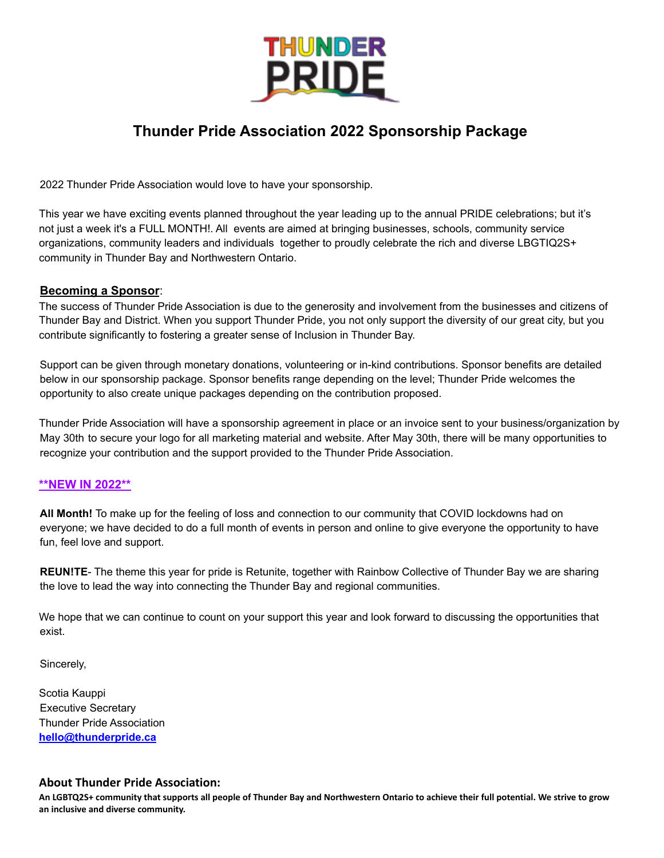

# **Thunder Pride Association 2022 Sponsorship Package**

2022 Thunder Pride Association would love to have your sponsorship.

This year we have exciting events planned throughout the year leading up to the annual PRIDE celebrations; but it's not just a week it's a FULL MONTH!. All events are aimed at bringing businesses, schools, community service organizations, community leaders and individuals together to proudly celebrate the rich and diverse LBGTIQ2S+ community in Thunder Bay and Northwestern Ontario.

## **Becoming a Sponsor**:

The success of Thunder Pride Association is due to the generosity and involvement from the businesses and citizens of Thunder Bay and District. When you support Thunder Pride, you not only support the diversity of our great city, but you contribute significantly to fostering a greater sense of Inclusion in Thunder Bay.

Support can be given through monetary donations, volunteering or in-kind contributions. Sponsor benefits are detailed below in our sponsorship package. Sponsor benefits range depending on the level; Thunder Pride welcomes the opportunity to also create unique packages depending on the contribution proposed.

Thunder Pride Association will have a sponsorship agreement in place or an invoice sent to your business/organization by May 30th to secure your logo for all marketing material and website. After May 30th, there will be many opportunities to recognize your contribution and the support provided to the Thunder Pride Association.

#### **\*\*NEW IN 2022\*\***

**All Month!** To make up for the feeling of loss and connection to our community that COVID lockdowns had on everyone; we have decided to do a full month of events in person and online to give everyone the opportunity to have fun, feel love and support.

**REUN!TE**- The theme this year for pride is Retunite, together with Rainbow Collective of Thunder Bay we are sharing the love to lead the way into connecting the Thunder Bay and regional communities.

We hope that we can continue to count on your support this year and look forward to discussing the opportunities that exist.

Sincerely,

Scotia Kauppi Executive Secretary Thunder Pride Association **hello@thunderpride.ca**

## **About Thunder Pride Association:**

**An LGBTQ2S+ community that supports all people of Thunder Bay and Northwestern Ontario to achieve their full potential. We strive to grow an inclusive and diverse community.**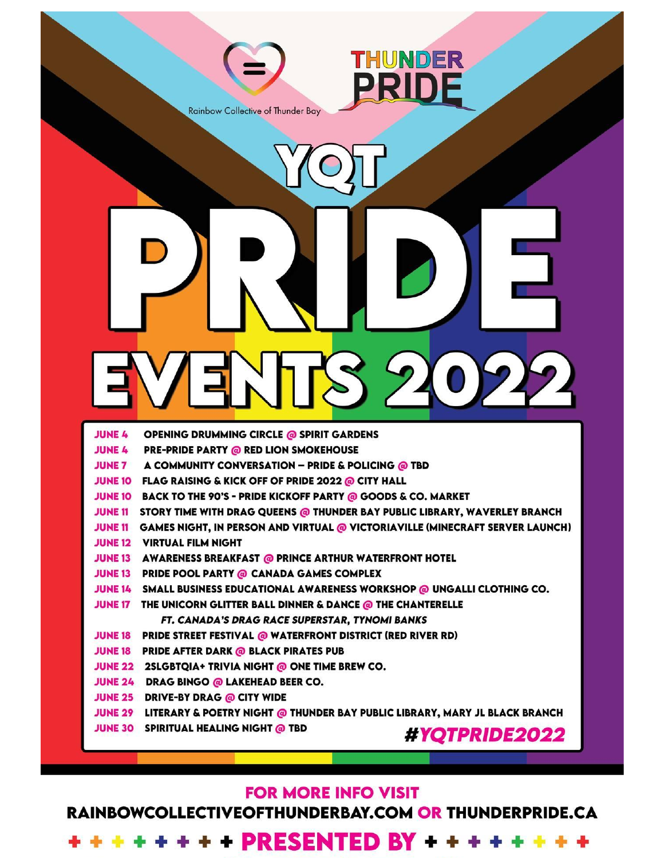

# **FOR MORE INFO VISIT**

RAINBOWCOLLECTIVEOFTHUNDERBAY.COM OR THUNDERPRIDE.CA

+ + + + + + + PRESENTED BY + + + + + + + +